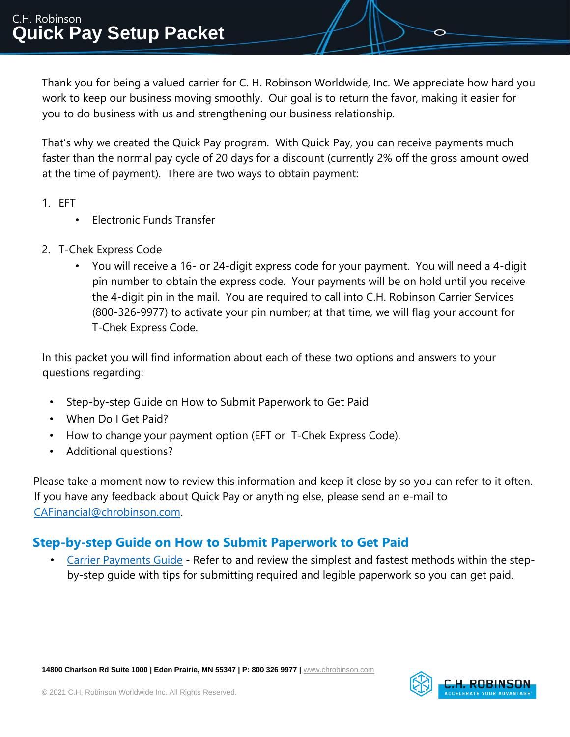Thank you for being a valued carrier for C. H. Robinson Worldwide, Inc. We appreciate how hard you work to keep our business moving smoothly. Our goal is to return the favor, making it easier for you to do business with us and strengthening our business relationship.

That's why we created the Quick Pay program. With Quick Pay, you can receive payments much faster than the normal pay cycle of 20 days for a discount (currently 2% off the gross amount owed at the time of payment). There are two ways to obtain payment:

- 1. EFT
	- Electronic Funds Transfer
- 2. T-Chek Express Code
	- You will receive a 16- or 24-digit express code for your payment. You will need a 4-digit pin number to obtain the express code. Your payments will be on hold until you receive the 4-digit pin in the mail. You are required to call into C.H. Robinson Carrier Services (800-326-9977) to activate your pin number; at that time, we will flag your account for T-Chek Express Code.

In this packet you will find information about each of these two options and answers to your questions regarding:

- Step-by-step Guide on How to Submit Paperwork to Get Paid
- When Do I Get Paid?
- How to change your payment option (EFT or T-Chek Express Code).
- Additional questions?

Please take a moment now to review this information and keep it close by so you can refer to it often. If you have any feedback about Quick Pay or anything else, please send an e-mail to CAFinancial@chrobinson.com.

#### **Step-by-step Guide on How to Submit Paperwork to Get Paid**

• [Carrier Payments Guide](https://www.chrobinson.com/en-us/en-us/-/media/chrobinson/documents/carrier_payments_guide_april_2021.pdf) - Refer to and review the simplest and fastest methods within the stepby-step guide with tips for submitting required and legible paperwork so you can get paid.

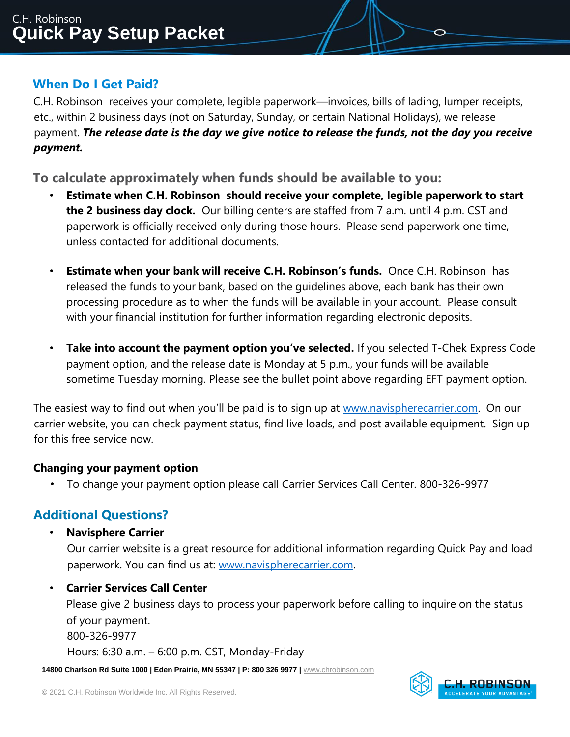### **When Do I Get Paid?**

C.H. Robinson receives your complete, legible paperwork—invoices, bills of lading, lumper receipts, etc., within 2 business days (not on Saturday, Sunday, or certain National Holidays), we release payment. *The release date is the day we give notice to release the funds, not the day you receive payment.* 

**To calculate approximately when funds should be available to you:** 

- **Estimate when C.H. Robinson should receive your complete, legible paperwork to start the 2 business day clock.** Our billing centers are staffed from 7 a.m. until 4 p.m. CST and paperwork is officially received only during those hours. Please send paperwork one time, unless contacted for additional documents.
- **Estimate when your bank will receive C.H. Robinson's funds.** Once C.H. Robinson has released the funds to your bank, based on the guidelines above, each bank has their own processing procedure as to when the funds will be available in your account. Please consult with your financial institution for further information regarding electronic deposits.
- **Take into account the payment option you've selected.** If you selected T-Chek Express Code payment option, and the release date is Monday at 5 p.m., your funds will be available sometime Tuesday morning. Please see the bullet point above regarding EFT payment option.

The easiest way to find out when you'll be paid is to sign up at [www.navispherecarrier.com.](http://www.navispherecarrier.com/) On our carrier website, you can check payment status, find live loads, and post available equipment. Sign up for this free service now.

#### **Changing your payment option**

• To change your payment option please call Carrier Services Call Center. 800-326-9977

# **Additional Questions?**

• **Navisphere Carrier**

Our carrier website is a great resource for additional information regarding Quick Pay and load paperwork. You can find us at: [www.navispherecarrier.com.](http://www.navispherecarrier.com/)

#### • **Carrier Services Call Center**

Please give 2 business days to process your paperwork before calling to inquire on the status of your payment. 800-326-9977

Hours: 6:30 a.m. – 6:00 p.m. CST, Monday-Friday

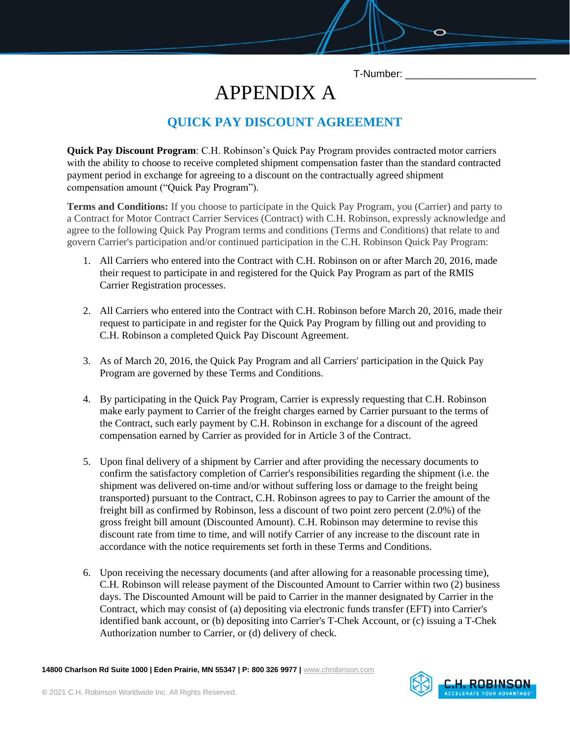T-Number: \_\_\_\_\_\_\_\_\_\_\_\_\_\_\_\_\_\_\_\_\_\_\_

# APPENDIX A

# **QUICK PAY DISCOUNT AGREEMENT**

**Quick Pay Discount Program**: C.H. Robinson's Quick Pay Program provides contracted motor carriers with the ability to choose to receive completed shipment compensation faster than the standard contracted payment period in exchange for agreeing to a discount on the contractually agreed shipment compensation amount ("Quick Pay Program").

**Terms and Conditions:** If you choose to participate in the Quick Pay Program, you (Carrier) and party to a Contract for Motor Contract Carrier Services (Contract) with C.H. Robinson, expressly acknowledge and agree to the following Quick Pay Program terms and conditions (Terms and Conditions) that relate to and govern Carrier's participation and/or continued participation in the C.H. Robinson Quick Pay Program:

- 1. All Carriers who entered into the Contract with C.H. Robinson on or after March 20, 2016, made their request to participate in and registered for the Quick Pay Program as part of the RMIS Carrier Registration processes.
- 2. All Carriers who entered into the Contract with C.H. Robinson before March 20, 2016, made their request to participate in and register for the Quick Pay Program by filling out and providing to C.H. Robinson a completed Quick Pay Discount Agreement.
- 3. As of March 20, 2016, the Quick Pay Program and all Carriers' participation in the Quick Pay Program are governed by these Terms and Conditions.
- 4. By participating in the Quick Pay Program, Carrier is expressly requesting that C.H. Robinson make early payment to Carrier of the freight charges earned by Carrier pursuant to the terms of the Contract, such early payment by C.H. Robinson in exchange for a discount of the agreed compensation earned by Carrier as provided for in Article 3 of the Contract.
- 5. Upon final delivery of a shipment by Carrier and after providing the necessary documents to confirm the satisfactory completion of Carrier's responsibilities regarding the shipment (i.e. the shipment was delivered on-time and/or without suffering loss or damage to the freight being transported) pursuant to the Contract, C.H. Robinson agrees to pay to Carrier the amount of the freight bill as confirmed by Robinson, less a discount of two point zero percent (2.0%) of the gross freight bill amount (Discounted Amount). C.H. Robinson may determine to revise this discount rate from time to time, and will notify Carrier of any increase to the discount rate in accordance with the notice requirements set forth in these Terms and Conditions.
- 6. Upon receiving the necessary documents (and after allowing for a reasonable processing time), C.H. Robinson will release payment of the Discounted Amount to Carrier within two (2) business days. The Discounted Amount will be paid to Carrier in the manner designated by Carrier in the Contract, which may consist of (a) depositing via electronic funds transfer (EFT) into Carrier's identified bank account, or (b) depositing into Carrier's T-Chek Account, or (c) issuing a T-Chek Authorization number to Carrier, or (d) delivery of check.

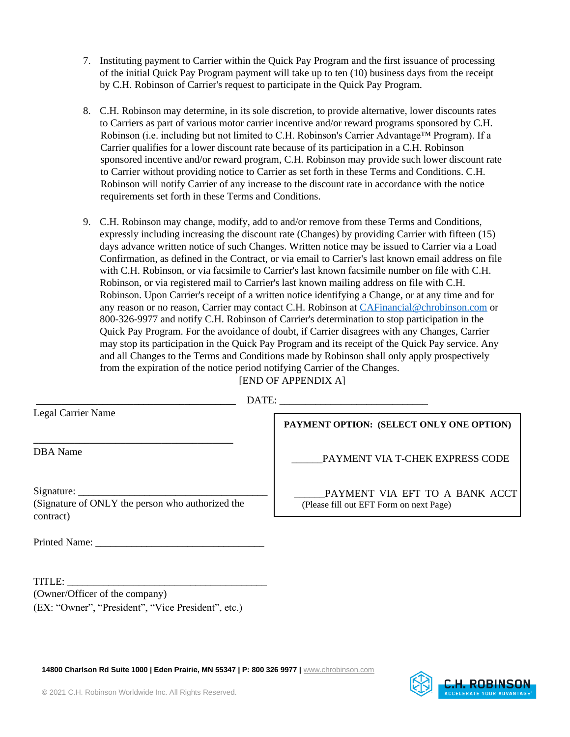- 7. Instituting payment to Carrier within the Quick Pay Program and the first issuance of processing of the initial Quick Pay Program payment will take up to ten (10) business days from the receipt by C.H. Robinson of Carrier's request to participate in the Quick Pay Program.
- 8. C.H. Robinson may determine, in its sole discretion, to provide alternative, lower discounts rates to Carriers as part of various motor carrier incentive and/or reward programs sponsored by C.H. Robinson (i.e. including but not limited to C.H. Robinson's Carrier Advantage™ Program). If a Carrier qualifies for a lower discount rate because of its participation in a C.H. Robinson sponsored incentive and/or reward program, C.H. Robinson may provide such lower discount rate to Carrier without providing notice to Carrier as set forth in these Terms and Conditions. C.H. Robinson will notify Carrier of any increase to the discount rate in accordance with the notice requirements set forth in these Terms and Conditions.
- 9. C.H. Robinson may change, modify, add to and/or remove from these Terms and Conditions, expressly including increasing the discount rate (Changes) by providing Carrier with fifteen (15) days advance written notice of such Changes. Written notice may be issued to Carrier via a Load Confirmation, as defined in the Contract, or via email to Carrier's last known email address on file with C.H. Robinson, or via facsimile to Carrier's last known facsimile number on file with C.H. Robinson, or via registered mail to Carrier's last known mailing address on file with C.H. Robinson. Upon Carrier's receipt of a written notice identifying a Change, or at any time and for any reason or no reason, Carrier may contact C.H. Robinson at CAFinancial@chrobinson.com or 800-326-9977 and notify C.H. Robinson of Carrier's determination to stop participation in the Quick Pay Program. For the avoidance of doubt, if Carrier disagrees with any Changes, Carrier may stop its participation in the Quick Pay Program and its receipt of the Quick Pay service. Any and all Changes to the Terms and Conditions made by Robinson shall only apply prospectively from the expiration of the notice period notifying Carrier of the Changes. **[END OF APPENDIX A]**

| Legal Carrier Name |  |
|--------------------|--|
|--------------------|--|

 $\text{DATE:}$ 

DBA Name

**PAYMENT OPTION: (SELECT ONLY ONE OPTION)**

PAYMENT VIA T-CHEK EXPRESS CODE

Signature: (Signature of ONLY the person who authorized the contract)

**\_\_\_\_\_\_\_\_\_\_\_\_\_\_\_\_\_\_\_\_\_\_\_\_\_\_\_\_\_\_\_\_\_\_\_\_\_\_\_** 

Printed Name:

TITLE: \_\_\_\_\_\_\_\_\_\_\_\_\_\_\_\_\_\_\_\_\_\_\_\_\_\_\_\_\_\_\_\_\_\_\_\_\_\_\_ (Owner/Officer of the company) (EX: "Owner", "President", "Vice President", etc.)

PAYMENT VIA EFT TO A BANK ACCT (Please fill out EFT Form on next Page)